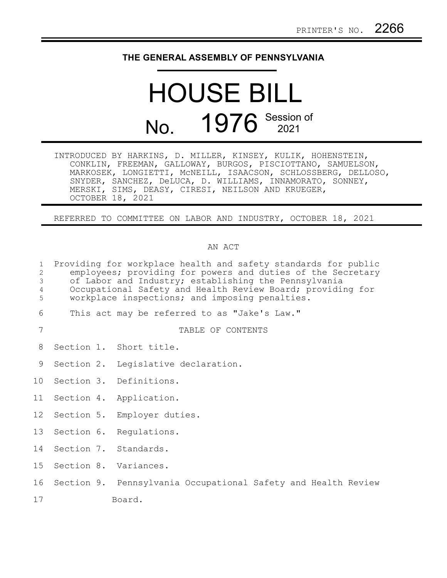## **THE GENERAL ASSEMBLY OF PENNSYLVANIA**

## HOUSE BILL No. 1976 Session of

| INTRODUCED BY HARKINS, D. MILLER, KINSEY, KULIK, HOHENSTEIN, |  |                                                             |                                                               |
|--------------------------------------------------------------|--|-------------------------------------------------------------|---------------------------------------------------------------|
|                                                              |  | CONKLIN, FREEMAN, GALLOWAY, BURGOS, PISCIOTTANO, SAMUELSON, |                                                               |
|                                                              |  |                                                             | MARKOSEK, LONGIETTI, MCNEILL, ISAACSON, SCHLOSSBERG, DELLOSO, |
|                                                              |  | SNYDER, SANCHEZ, DeLUCA, D. WILLIAMS, INNAMORATO, SONNEY,   |                                                               |
|                                                              |  | MERSKI, SIMS, DEASY, CIRESI, NEILSON AND KRUEGER,           |                                                               |
| OCTOBER 18, 2021                                             |  |                                                             |                                                               |

REFERRED TO COMMITTEE ON LABOR AND INDUSTRY, OCTOBER 18, 2021

## AN ACT

| $\mathbf{1}$<br>2<br>3<br>$\overline{4}$<br>5 | Providing for workplace health and safety standards for public<br>employees; providing for powers and duties of the Secretary<br>of Labor and Industry; establishing the Pennsylvania<br>Occupational Safety and Health Review Board; providing for<br>workplace inspections; and imposing penalties. |  |                                                               |  |  |  |  |
|-----------------------------------------------|-------------------------------------------------------------------------------------------------------------------------------------------------------------------------------------------------------------------------------------------------------------------------------------------------------|--|---------------------------------------------------------------|--|--|--|--|
| 6                                             |                                                                                                                                                                                                                                                                                                       |  | This act may be referred to as "Jake's Law."                  |  |  |  |  |
| 7                                             |                                                                                                                                                                                                                                                                                                       |  | TABLE OF CONTENTS                                             |  |  |  |  |
| 8                                             |                                                                                                                                                                                                                                                                                                       |  | Section 1. Short title.                                       |  |  |  |  |
| 9                                             |                                                                                                                                                                                                                                                                                                       |  | Section 2. Legislative declaration.                           |  |  |  |  |
| 10                                            |                                                                                                                                                                                                                                                                                                       |  | Section 3. Definitions.                                       |  |  |  |  |
| 11                                            |                                                                                                                                                                                                                                                                                                       |  | Section 4. Application.                                       |  |  |  |  |
| 12                                            |                                                                                                                                                                                                                                                                                                       |  | Section 5. Employer duties.                                   |  |  |  |  |
| 13                                            |                                                                                                                                                                                                                                                                                                       |  | Section 6. Regulations.                                       |  |  |  |  |
| 14                                            |                                                                                                                                                                                                                                                                                                       |  | Section 7. Standards.                                         |  |  |  |  |
| 15                                            |                                                                                                                                                                                                                                                                                                       |  | Section 8. Variances.                                         |  |  |  |  |
| 16                                            |                                                                                                                                                                                                                                                                                                       |  | Section 9. Pennsylvania Occupational Safety and Health Review |  |  |  |  |
| 17                                            |                                                                                                                                                                                                                                                                                                       |  | Board.                                                        |  |  |  |  |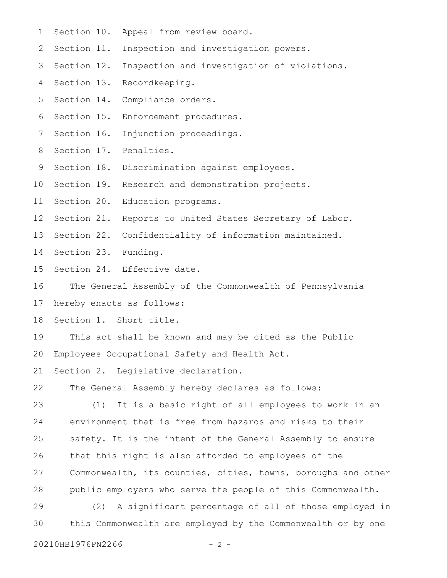- Section 10. Appeal from review board. 1
- Inspection and investigation powers. 2 Section 11.
- Inspection and investigation of violations. 3 Section 12.
- Section 13. Recordkeeping. 4
- Section 14. Compliance orders. 5
- Section 15. Enforcement procedures. 6
- Section 16. Injunction proceedings. 7
- 8 Section 17. Penalties.
- 9 Section 18. Discrimination against employees.
- 10 Section 19. Research and demonstration projects.
- 11 Section 20. Education programs.
- 12 Section 21. Reports to United States Secretary of Labor.
- 13 Section 22. Confidentiality of information maintained.
- 14 Section 23. Funding.
- Section 24. Effective date. 15
- The General Assembly of the Commonwealth of Pennsylvania 16

hereby enacts as follows: 17

Section 1. Short title. 18

- This act shall be known and may be cited as the Public Employees Occupational Safety and Health Act. 19 20
- Section 2. Legislative declaration. 21
- The General Assembly hereby declares as follows: 22

(1) It is a basic right of all employees to work in an environment that is free from hazards and risks to their safety. It is the intent of the General Assembly to ensure that this right is also afforded to employees of the Commonwealth, its counties, cities, towns, boroughs and other public employers who serve the people of this Commonwealth. 23 24 25 26 27 28

(2) A significant percentage of all of those employed in this Commonwealth are employed by the Commonwealth or by one 29 30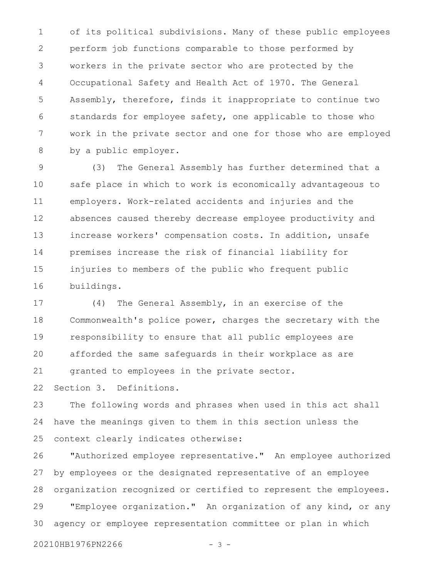of its political subdivisions. Many of these public employees perform job functions comparable to those performed by workers in the private sector who are protected by the Occupational Safety and Health Act of 1970. The General Assembly, therefore, finds it inappropriate to continue two standards for employee safety, one applicable to those who work in the private sector and one for those who are employed by a public employer. 1 2 3 4 5 6 7 8

(3) The General Assembly has further determined that a safe place in which to work is economically advantageous to employers. Work-related accidents and injuries and the absences caused thereby decrease employee productivity and increase workers' compensation costs. In addition, unsafe premises increase the risk of financial liability for injuries to members of the public who frequent public buildings. 9 10 11 12 13 14 15 16

(4) The General Assembly, in an exercise of the Commonwealth's police power, charges the secretary with the responsibility to ensure that all public employees are afforded the same safeguards in their workplace as are granted to employees in the private sector. 17 18 19 20 21

Section 3. Definitions. 22

The following words and phrases when used in this act shall have the meanings given to them in this section unless the context clearly indicates otherwise: 23 24 25

"Authorized employee representative." An employee authorized by employees or the designated representative of an employee organization recognized or certified to represent the employees. "Employee organization." An organization of any kind, or any agency or employee representation committee or plan in which 26 27 28 29 30

20210HB1976PN2266 - 3 -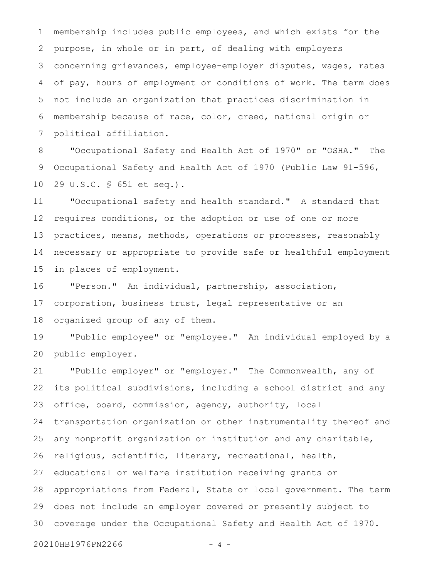membership includes public employees, and which exists for the purpose, in whole or in part, of dealing with employers concerning grievances, employee-employer disputes, wages, rates of pay, hours of employment or conditions of work. The term does not include an organization that practices discrimination in membership because of race, color, creed, national origin or political affiliation. 1 2 3 4 5 6 7

"Occupational Safety and Health Act of 1970" or "OSHA." The Occupational Safety and Health Act of 1970 (Public Law 91-596, 29 U.S.C. § 651 et seq.). 8 9 10

"Occupational safety and health standard." A standard that requires conditions, or the adoption or use of one or more practices, means, methods, operations or processes, reasonably necessary or appropriate to provide safe or healthful employment in places of employment. 11 12 13 14 15

"Person." An individual, partnership, association, corporation, business trust, legal representative or an organized group of any of them. 16 17 18

"Public employee" or "employee." An individual employed by a public employer. 19 20

"Public employer" or "employer." The Commonwealth, any of its political subdivisions, including a school district and any office, board, commission, agency, authority, local transportation organization or other instrumentality thereof and any nonprofit organization or institution and any charitable, religious, scientific, literary, recreational, health, educational or welfare institution receiving grants or appropriations from Federal, State or local government. The term does not include an employer covered or presently subject to coverage under the Occupational Safety and Health Act of 1970. 21 22 23 24 25 26 27 28 29 30

20210HB1976PN2266 - 4 -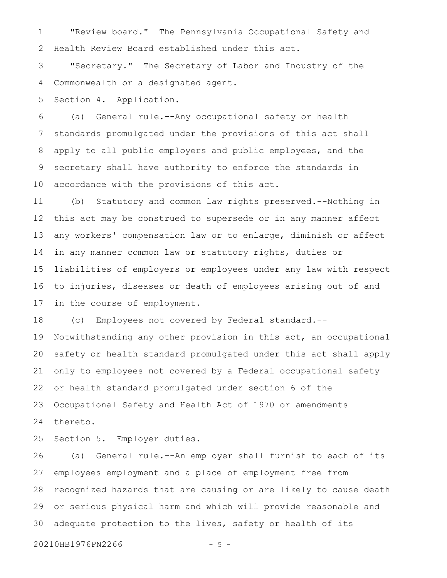"Review board." The Pennsylvania Occupational Safety and Health Review Board established under this act. 1 2

"Secretary." The Secretary of Labor and Industry of the Commonwealth or a designated agent. 3 4

Section 4. Application. 5

(a) General rule.--Any occupational safety or health standards promulgated under the provisions of this act shall apply to all public employers and public employees, and the secretary shall have authority to enforce the standards in accordance with the provisions of this act. 6 7 8 9 10

(b) Statutory and common law rights preserved.--Nothing in this act may be construed to supersede or in any manner affect any workers' compensation law or to enlarge, diminish or affect in any manner common law or statutory rights, duties or liabilities of employers or employees under any law with respect to injuries, diseases or death of employees arising out of and in the course of employment. 11 12 13 14 15 16 17

(c) Employees not covered by Federal standard.-- Notwithstanding any other provision in this act, an occupational safety or health standard promulgated under this act shall apply only to employees not covered by a Federal occupational safety or health standard promulgated under section 6 of the Occupational Safety and Health Act of 1970 or amendments thereto. 18 19 20 21 22 23 24

Section 5. Employer duties. 25

(a) General rule.--An employer shall furnish to each of its employees employment and a place of employment free from recognized hazards that are causing or are likely to cause death or serious physical harm and which will provide reasonable and adequate protection to the lives, safety or health of its 26 27 28 29 30

20210HB1976PN2266 - 5 -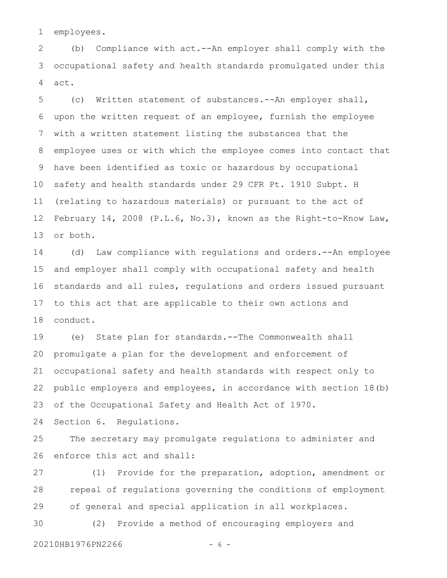employees. 1

(b) Compliance with act.--An employer shall comply with the occupational safety and health standards promulgated under this act. 2 3 4

(c) Written statement of substances.--An employer shall, upon the written request of an employee, furnish the employee with a written statement listing the substances that the employee uses or with which the employee comes into contact that have been identified as toxic or hazardous by occupational safety and health standards under 29 CFR Pt. 1910 Subpt. H (relating to hazardous materials) or pursuant to the act of February 14, 2008 (P.L.6, No.3), known as the Right-to-Know Law, or both. 5 6 7 8 9 10 11 12 13

(d) Law compliance with regulations and orders.--An employee and employer shall comply with occupational safety and health standards and all rules, regulations and orders issued pursuant to this act that are applicable to their own actions and conduct. 14 15 16 17 18

(e) State plan for standards.--The Commonwealth shall promulgate a plan for the development and enforcement of occupational safety and health standards with respect only to public employers and employees, in accordance with section 18(b) of the Occupational Safety and Health Act of 1970. 19 20 21 22 23

Section 6. Regulations. 24

The secretary may promulgate regulations to administer and enforce this act and shall: 25 26

(1) Provide for the preparation, adoption, amendment or repeal of regulations governing the conditions of employment of general and special application in all workplaces. 27 28 29

(2) Provide a method of encouraging employers and 30

20210HB1976PN2266 - 6 -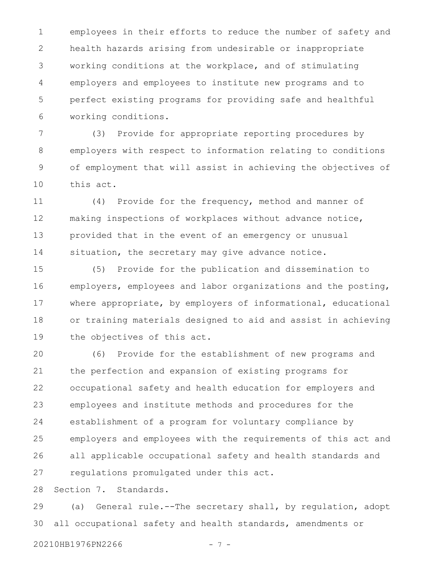employees in their efforts to reduce the number of safety and health hazards arising from undesirable or inappropriate working conditions at the workplace, and of stimulating employers and employees to institute new programs and to perfect existing programs for providing safe and healthful working conditions. 1 2 3 4 5 6

(3) Provide for appropriate reporting procedures by employers with respect to information relating to conditions of employment that will assist in achieving the objectives of this act. 7 8 9 10

(4) Provide for the frequency, method and manner of making inspections of workplaces without advance notice, provided that in the event of an emergency or unusual situation, the secretary may give advance notice. 11 12 13 14

(5) Provide for the publication and dissemination to employers, employees and labor organizations and the posting, where appropriate, by employers of informational, educational or training materials designed to aid and assist in achieving the objectives of this act. 15 16 17 18 19

(6) Provide for the establishment of new programs and the perfection and expansion of existing programs for occupational safety and health education for employers and employees and institute methods and procedures for the establishment of a program for voluntary compliance by employers and employees with the requirements of this act and all applicable occupational safety and health standards and regulations promulgated under this act. 20 21 22 23 24 25 26 27

Section 7. Standards. 28

(a) General rule.--The secretary shall, by regulation, adopt all occupational safety and health standards, amendments or 29 30

20210HB1976PN2266 - 7 -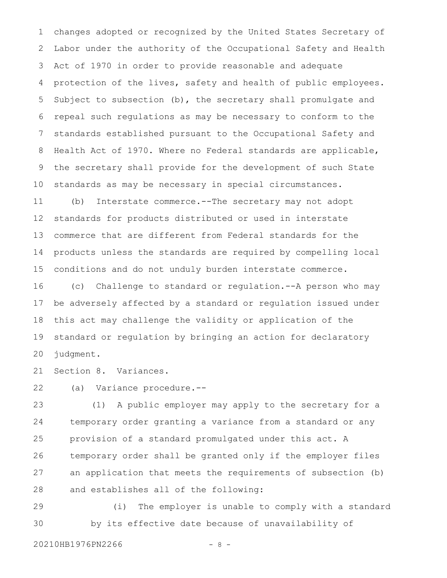changes adopted or recognized by the United States Secretary of Labor under the authority of the Occupational Safety and Health Act of 1970 in order to provide reasonable and adequate protection of the lives, safety and health of public employees. Subject to subsection (b), the secretary shall promulgate and repeal such regulations as may be necessary to conform to the standards established pursuant to the Occupational Safety and Health Act of 1970. Where no Federal standards are applicable, the secretary shall provide for the development of such State standards as may be necessary in special circumstances. (b) Interstate commerce.--The secretary may not adopt 1 2 3 4 5 6 7 8 9 10 11

standards for products distributed or used in interstate commerce that are different from Federal standards for the products unless the standards are required by compelling local conditions and do not unduly burden interstate commerce. 12 13 14 15

(c) Challenge to standard or regulation.--A person who may be adversely affected by a standard or regulation issued under this act may challenge the validity or application of the standard or regulation by bringing an action for declaratory judgment. 16 17 18 19 20

Section 8. Variances. 21

(a) Variance procedure.-- 22

(1) A public employer may apply to the secretary for a temporary order granting a variance from a standard or any provision of a standard promulgated under this act. A temporary order shall be granted only if the employer files an application that meets the requirements of subsection (b) and establishes all of the following: 23 24 25 26 27 28

(i) The employer is unable to comply with a standard by its effective date because of unavailability of 29 30

20210HB1976PN2266 - 8 -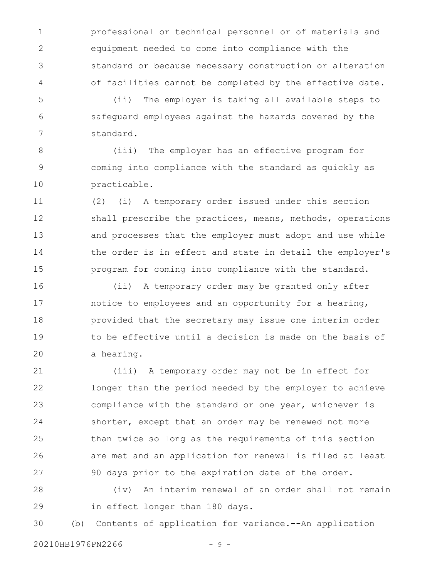professional or technical personnel or of materials and equipment needed to come into compliance with the standard or because necessary construction or alteration of facilities cannot be completed by the effective date. 1 2 3 4

(ii) The employer is taking all available steps to safeguard employees against the hazards covered by the standard. 5 6 7

(iii) The employer has an effective program for coming into compliance with the standard as quickly as practicable. 8 9 10

(2) (i) A temporary order issued under this section shall prescribe the practices, means, methods, operations and processes that the employer must adopt and use while the order is in effect and state in detail the employer's program for coming into compliance with the standard. 11 12 13 14 15

(ii) A temporary order may be granted only after notice to employees and an opportunity for a hearing, provided that the secretary may issue one interim order to be effective until a decision is made on the basis of a hearing. 16 17 18 19 20

(iii) A temporary order may not be in effect for longer than the period needed by the employer to achieve compliance with the standard or one year, whichever is shorter, except that an order may be renewed not more than twice so long as the requirements of this section are met and an application for renewal is filed at least 90 days prior to the expiration date of the order. 21 22 23 24 25 26 27

(iv) An interim renewal of an order shall not remain in effect longer than 180 days. 28 29

(b) Contents of application for variance.--An application 30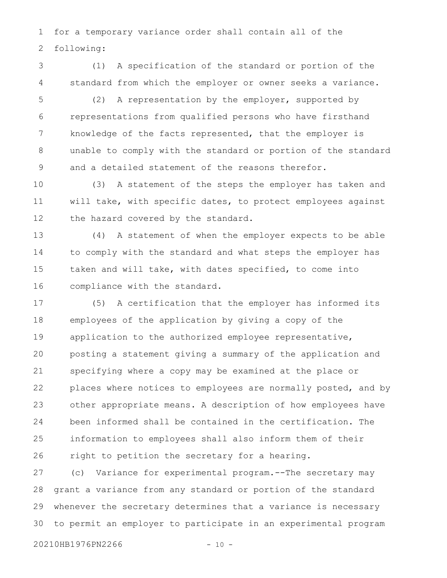for a temporary variance order shall contain all of the following: 1 2

(1) A specification of the standard or portion of the standard from which the employer or owner seeks a variance. 3 4

(2) A representation by the employer, supported by representations from qualified persons who have firsthand knowledge of the facts represented, that the employer is unable to comply with the standard or portion of the standard and a detailed statement of the reasons therefor. 5 6 7 8 9

(3) A statement of the steps the employer has taken and will take, with specific dates, to protect employees against the hazard covered by the standard. 10 11 12

(4) A statement of when the employer expects to be able to comply with the standard and what steps the employer has taken and will take, with dates specified, to come into compliance with the standard. 13 14 15 16

(5) A certification that the employer has informed its employees of the application by giving a copy of the application to the authorized employee representative, posting a statement giving a summary of the application and specifying where a copy may be examined at the place or places where notices to employees are normally posted, and by other appropriate means. A description of how employees have been informed shall be contained in the certification. The information to employees shall also inform them of their right to petition the secretary for a hearing. 17 18 19 20 21 22 23 24 25 26

(c) Variance for experimental program.--The secretary may grant a variance from any standard or portion of the standard whenever the secretary determines that a variance is necessary to permit an employer to participate in an experimental program 27 28 29 30

```
20210HB1976PN2266 - 10 -
```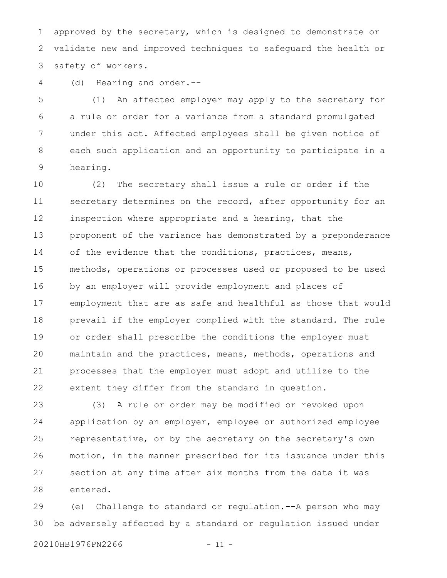approved by the secretary, which is designed to demonstrate or validate new and improved techniques to safeguard the health or safety of workers. 1 2 3

(d) Hearing and order.-- 4

(1) An affected employer may apply to the secretary for a rule or order for a variance from a standard promulgated under this act. Affected employees shall be given notice of each such application and an opportunity to participate in a hearing. 5 6 7 8 9

(2) The secretary shall issue a rule or order if the secretary determines on the record, after opportunity for an inspection where appropriate and a hearing, that the proponent of the variance has demonstrated by a preponderance of the evidence that the conditions, practices, means, methods, operations or processes used or proposed to be used by an employer will provide employment and places of employment that are as safe and healthful as those that would prevail if the employer complied with the standard. The rule or order shall prescribe the conditions the employer must maintain and the practices, means, methods, operations and processes that the employer must adopt and utilize to the extent they differ from the standard in question. 10 11 12 13 14 15 16 17 18 19 20 21 22

(3) A rule or order may be modified or revoked upon application by an employer, employee or authorized employee representative, or by the secretary on the secretary's own motion, in the manner prescribed for its issuance under this section at any time after six months from the date it was entered. 23 24 25 26 27 28

(e) Challenge to standard or regulation.--A person who may be adversely affected by a standard or regulation issued under 29 30

20210HB1976PN2266 - 11 -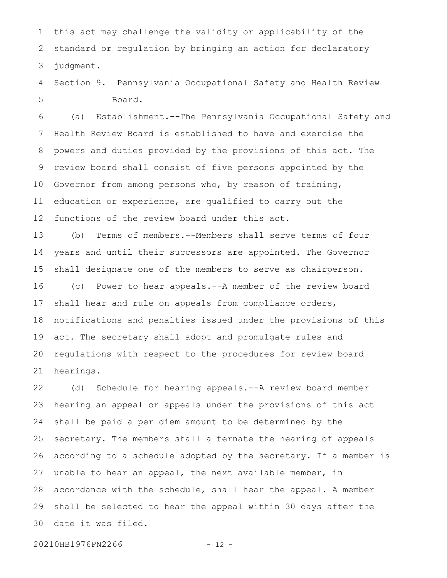this act may challenge the validity or applicability of the standard or regulation by bringing an action for declaratory judgment. 1 2 3

Section 9. Pennsylvania Occupational Safety and Health Review Board. 4 5

(a) Establishment.--The Pennsylvania Occupational Safety and Health Review Board is established to have and exercise the powers and duties provided by the provisions of this act. The review board shall consist of five persons appointed by the Governor from among persons who, by reason of training, education or experience, are qualified to carry out the functions of the review board under this act. 6 7 8 9 10 11 12

(b) Terms of members.--Members shall serve terms of four years and until their successors are appointed. The Governor shall designate one of the members to serve as chairperson. (c) Power to hear appeals.--A member of the review board shall hear and rule on appeals from compliance orders, notifications and penalties issued under the provisions of this act. The secretary shall adopt and promulgate rules and regulations with respect to the procedures for review board hearings. 13 14 15 16 17 18 19 20 21

(d) Schedule for hearing appeals.--A review board member hearing an appeal or appeals under the provisions of this act shall be paid a per diem amount to be determined by the secretary. The members shall alternate the hearing of appeals according to a schedule adopted by the secretary. If a member is unable to hear an appeal, the next available member, in accordance with the schedule, shall hear the appeal. A member shall be selected to hear the appeal within 30 days after the date it was filed. 22 23 24 25 26 27 28 29 30

20210HB1976PN2266 - 12 -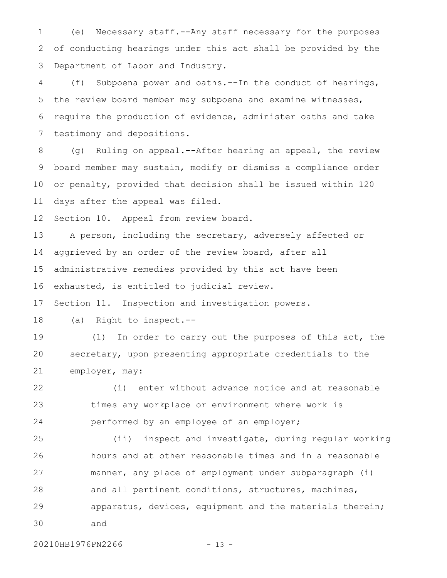(e) Necessary staff.--Any staff necessary for the purposes of conducting hearings under this act shall be provided by the Department of Labor and Industry. 1 2 3

(f) Subpoena power and oaths.--In the conduct of hearings, the review board member may subpoena and examine witnesses, require the production of evidence, administer oaths and take testimony and depositions. 4 5 6 7

(g) Ruling on appeal.--After hearing an appeal, the review board member may sustain, modify or dismiss a compliance order or penalty, provided that decision shall be issued within 120 days after the appeal was filed. 8 9 10 11

Section 10. Appeal from review board. 12

A person, including the secretary, adversely affected or aggrieved by an order of the review board, after all administrative remedies provided by this act have been exhausted, is entitled to judicial review. 13 14 15 16

Section 11. Inspection and investigation powers. 17

(a) Right to inspect.-- 18

(1) In order to carry out the purposes of this act, the secretary, upon presenting appropriate credentials to the employer, may: 19 20 21

(i) enter without advance notice and at reasonable times any workplace or environment where work is performed by an employee of an employer; 22 23 24

(ii) inspect and investigate, during regular working hours and at other reasonable times and in a reasonable manner, any place of employment under subparagraph (i) and all pertinent conditions, structures, machines, apparatus, devices, equipment and the materials therein; and 25 26 27 28 29 30

20210HB1976PN2266 - 13 -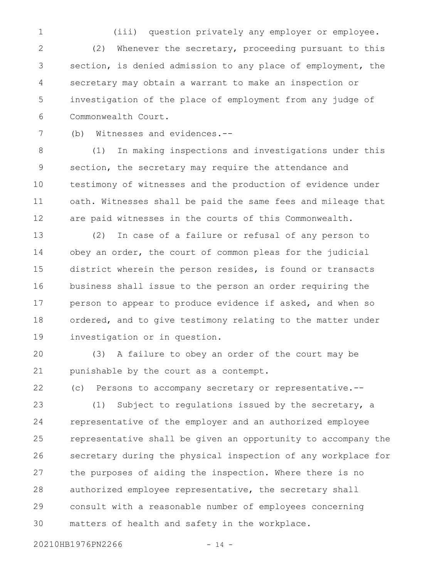(iii) question privately any employer or employee. (2) Whenever the secretary, proceeding pursuant to this section, is denied admission to any place of employment, the secretary may obtain a warrant to make an inspection or investigation of the place of employment from any judge of Commonwealth Court. 1 2 3 4 5 6

(b) Witnesses and evidences.-- 7

(1) In making inspections and investigations under this section, the secretary may require the attendance and testimony of witnesses and the production of evidence under oath. Witnesses shall be paid the same fees and mileage that are paid witnesses in the courts of this Commonwealth. 8 9 10 11 12

(2) In case of a failure or refusal of any person to obey an order, the court of common pleas for the judicial district wherein the person resides, is found or transacts business shall issue to the person an order requiring the person to appear to produce evidence if asked, and when so ordered, and to give testimony relating to the matter under investigation or in question. 13 14 15 16 17 18 19

(3) A failure to obey an order of the court may be punishable by the court as a contempt. 20 21

(c) Persons to accompany secretary or representative.-- 22

(1) Subject to regulations issued by the secretary, a representative of the employer and an authorized employee representative shall be given an opportunity to accompany the secretary during the physical inspection of any workplace for the purposes of aiding the inspection. Where there is no authorized employee representative, the secretary shall consult with a reasonable number of employees concerning matters of health and safety in the workplace. 23 24 25 26 27 28 29 30

20210HB1976PN2266 - 14 -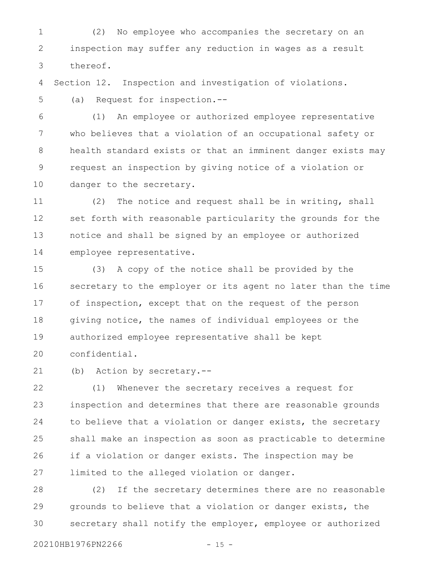(2) No employee who accompanies the secretary on an inspection may suffer any reduction in wages as a result thereof. 1 2 3

Section 12. Inspection and investigation of violations. 4

(a) Request for inspection.-- 5

(1) An employee or authorized employee representative who believes that a violation of an occupational safety or health standard exists or that an imminent danger exists may request an inspection by giving notice of a violation or danger to the secretary. 6 7 8 9 10

(2) The notice and request shall be in writing, shall set forth with reasonable particularity the grounds for the notice and shall be signed by an employee or authorized employee representative. 11 12 13 14

(3) A copy of the notice shall be provided by the secretary to the employer or its agent no later than the time of inspection, except that on the request of the person giving notice, the names of individual employees or the authorized employee representative shall be kept confidential. 15 16 17 18 19 20

(b) Action by secretary.-- 21

(1) Whenever the secretary receives a request for inspection and determines that there are reasonable grounds to believe that a violation or danger exists, the secretary shall make an inspection as soon as practicable to determine if a violation or danger exists. The inspection may be limited to the alleged violation or danger. 22 23 24 25 26 27

(2) If the secretary determines there are no reasonable grounds to believe that a violation or danger exists, the secretary shall notify the employer, employee or authorized 28 29 30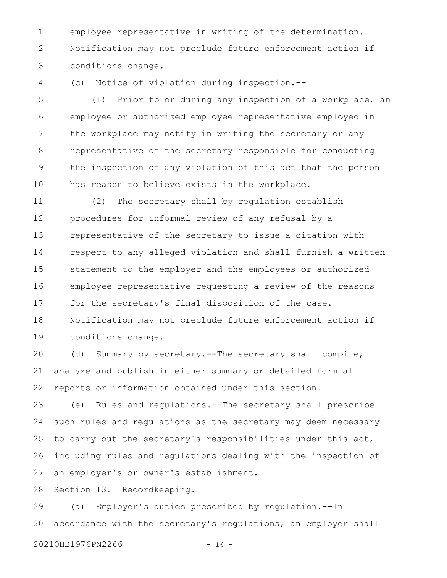employee representative in writing of the determination. Notification may not preclude future enforcement action if conditions change. 1 2 3

(c) Notice of violation during inspection.-- 4

(1) Prior to or during any inspection of a workplace, an employee or authorized employee representative employed in the workplace may notify in writing the secretary or any representative of the secretary responsible for conducting the inspection of any violation of this act that the person has reason to believe exists in the workplace. 5 6 7 8 9 10

(2) The secretary shall by regulation establish procedures for informal review of any refusal by a representative of the secretary to issue a citation with respect to any alleged violation and shall furnish a written statement to the employer and the employees or authorized employee representative requesting a review of the reasons for the secretary's final disposition of the case. Notification may not preclude future enforcement action if conditions change. 11 12 13 14 15 16 17 18 19

(d) Summary by secretary.--The secretary shall compile, analyze and publish in either summary or detailed form all reports or information obtained under this section. 20 21 22

(e) Rules and regulations.--The secretary shall prescribe such rules and regulations as the secretary may deem necessary to carry out the secretary's responsibilities under this act, including rules and regulations dealing with the inspection of an employer's or owner's establishment. 23 24 25 26 27

Section 13. Recordkeeping. 28

(a) Employer's duties prescribed by regulation.--In accordance with the secretary's regulations, an employer shall 29 30

20210HB1976PN2266 - 16 -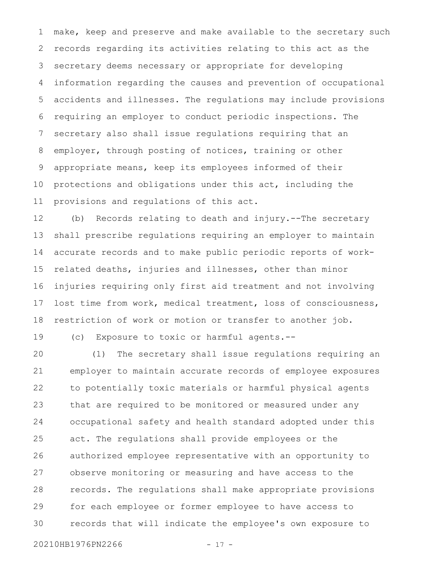make, keep and preserve and make available to the secretary such records regarding its activities relating to this act as the secretary deems necessary or appropriate for developing information regarding the causes and prevention of occupational accidents and illnesses. The regulations may include provisions requiring an employer to conduct periodic inspections. The secretary also shall issue regulations requiring that an employer, through posting of notices, training or other appropriate means, keep its employees informed of their protections and obligations under this act, including the provisions and regulations of this act. 1 2 3 4 5 6 7 8 9 10 11

(b) Records relating to death and injury.--The secretary shall prescribe regulations requiring an employer to maintain accurate records and to make public periodic reports of workrelated deaths, injuries and illnesses, other than minor injuries requiring only first aid treatment and not involving lost time from work, medical treatment, loss of consciousness, restriction of work or motion or transfer to another job. 12 13 14 15 16 17 18

(c) Exposure to toxic or harmful agents.--

(1) The secretary shall issue regulations requiring an employer to maintain accurate records of employee exposures to potentially toxic materials or harmful physical agents that are required to be monitored or measured under any occupational safety and health standard adopted under this act. The regulations shall provide employees or the authorized employee representative with an opportunity to observe monitoring or measuring and have access to the records. The regulations shall make appropriate provisions for each employee or former employee to have access to records that will indicate the employee's own exposure to 20 21 22 23 24 25 26 27 28 29 30

```
20210HB1976PN2266 - 17 -
```
19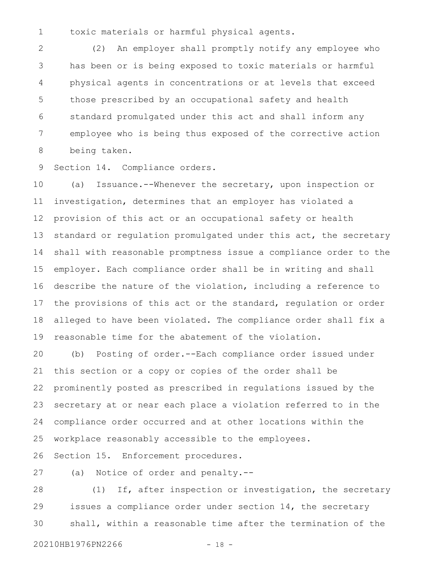toxic materials or harmful physical agents. 1

(2) An employer shall promptly notify any employee who has been or is being exposed to toxic materials or harmful physical agents in concentrations or at levels that exceed those prescribed by an occupational safety and health standard promulgated under this act and shall inform any employee who is being thus exposed of the corrective action being taken. 2 3 4 5 6 7 8

Section 14. Compliance orders. 9

(a) Issuance.--Whenever the secretary, upon inspection or investigation, determines that an employer has violated a provision of this act or an occupational safety or health standard or regulation promulgated under this act, the secretary shall with reasonable promptness issue a compliance order to the employer. Each compliance order shall be in writing and shall describe the nature of the violation, including a reference to the provisions of this act or the standard, regulation or order alleged to have been violated. The compliance order shall fix a reasonable time for the abatement of the violation. 10 11 12 13 14 15 16 17 18 19

(b) Posting of order.--Each compliance order issued under this section or a copy or copies of the order shall be prominently posted as prescribed in regulations issued by the secretary at or near each place a violation referred to in the compliance order occurred and at other locations within the workplace reasonably accessible to the employees. 20 21 22 23 24 25

Section 15. Enforcement procedures. 26

(a) Notice of order and penalty.-- 27

(1) If, after inspection or investigation, the secretary issues a compliance order under section 14, the secretary shall, within a reasonable time after the termination of the 28 29 30

20210HB1976PN2266 - 18 -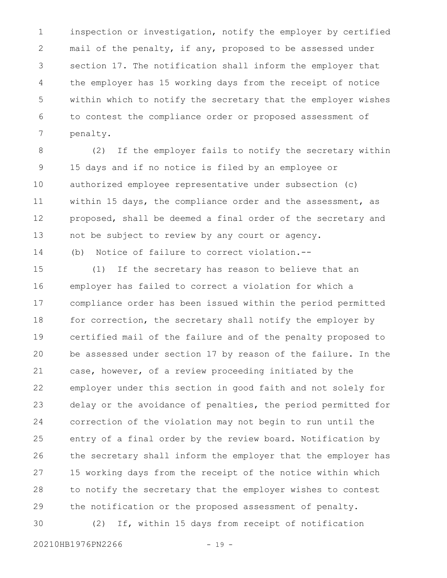inspection or investigation, notify the employer by certified mail of the penalty, if any, proposed to be assessed under section 17. The notification shall inform the employer that the employer has 15 working days from the receipt of notice within which to notify the secretary that the employer wishes to contest the compliance order or proposed assessment of penalty. 1 2 3 4 5 6 7

(2) If the employer fails to notify the secretary within 15 days and if no notice is filed by an employee or authorized employee representative under subsection (c) within 15 days, the compliance order and the assessment, as proposed, shall be deemed a final order of the secretary and not be subject to review by any court or agency. (b) Notice of failure to correct violation.-- 8 9 10 11 12 13 14

(1) If the secretary has reason to believe that an employer has failed to correct a violation for which a compliance order has been issued within the period permitted for correction, the secretary shall notify the employer by certified mail of the failure and of the penalty proposed to be assessed under section 17 by reason of the failure. In the case, however, of a review proceeding initiated by the employer under this section in good faith and not solely for delay or the avoidance of penalties, the period permitted for correction of the violation may not begin to run until the entry of a final order by the review board. Notification by the secretary shall inform the employer that the employer has 15 working days from the receipt of the notice within which to notify the secretary that the employer wishes to contest the notification or the proposed assessment of penalty. 15 16 17 18 19 20 21 22 23 24 25 26 27 28 29

(2) If, within 15 days from receipt of notification 30

20210HB1976PN2266 - 19 -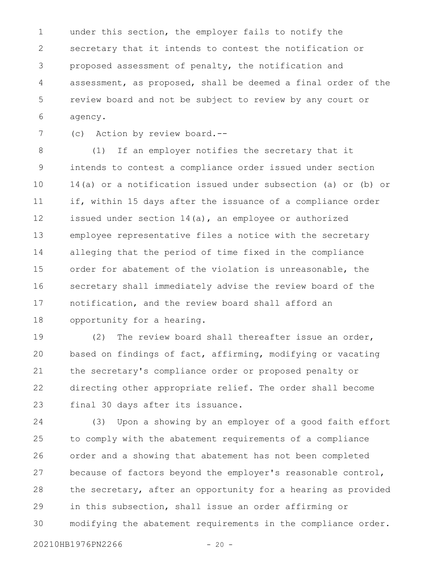under this section, the employer fails to notify the secretary that it intends to contest the notification or proposed assessment of penalty, the notification and assessment, as proposed, shall be deemed a final order of the review board and not be subject to review by any court or agency. 1 2 3 4 5 6

(c) Action by review board.-- 7

(1) If an employer notifies the secretary that it intends to contest a compliance order issued under section 14(a) or a notification issued under subsection (a) or (b) or if, within 15 days after the issuance of a compliance order issued under section 14(a), an employee or authorized employee representative files a notice with the secretary alleging that the period of time fixed in the compliance order for abatement of the violation is unreasonable, the secretary shall immediately advise the review board of the notification, and the review board shall afford an opportunity for a hearing. 8 9 10 11 12 13 14 15 16 17 18

(2) The review board shall thereafter issue an order, based on findings of fact, affirming, modifying or vacating the secretary's compliance order or proposed penalty or directing other appropriate relief. The order shall become final 30 days after its issuance. 19 20 21 22 23

(3) Upon a showing by an employer of a good faith effort to comply with the abatement requirements of a compliance order and a showing that abatement has not been completed because of factors beyond the employer's reasonable control, the secretary, after an opportunity for a hearing as provided in this subsection, shall issue an order affirming or modifying the abatement requirements in the compliance order. 24 25 26 27 28 29 30

20210HB1976PN2266 - 20 -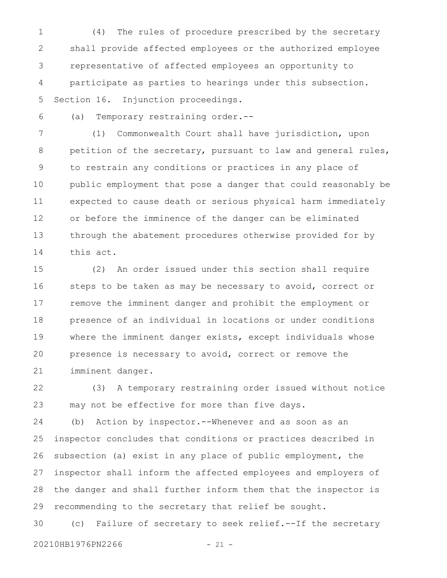(4) The rules of procedure prescribed by the secretary shall provide affected employees or the authorized employee representative of affected employees an opportunity to participate as parties to hearings under this subsection. Section 16. Injunction proceedings. 1 2 3 4 5

(a) Temporary restraining order.-- 6

(1) Commonwealth Court shall have jurisdiction, upon petition of the secretary, pursuant to law and general rules, to restrain any conditions or practices in any place of public employment that pose a danger that could reasonably be expected to cause death or serious physical harm immediately or before the imminence of the danger can be eliminated through the abatement procedures otherwise provided for by this act. 7 8 9 10 11 12 13 14

(2) An order issued under this section shall require steps to be taken as may be necessary to avoid, correct or remove the imminent danger and prohibit the employment or presence of an individual in locations or under conditions where the imminent danger exists, except individuals whose presence is necessary to avoid, correct or remove the imminent danger. 15 16 17 18 19 20 21

(3) A temporary restraining order issued without notice may not be effective for more than five days. 22 23

(b) Action by inspector.--Whenever and as soon as an inspector concludes that conditions or practices described in subsection (a) exist in any place of public employment, the inspector shall inform the affected employees and employers of the danger and shall further inform them that the inspector is recommending to the secretary that relief be sought. 24 25 26 27 28 29

(c) Failure of secretary to seek relief.--If the secretary 20210HB1976PN2266 - 21 -30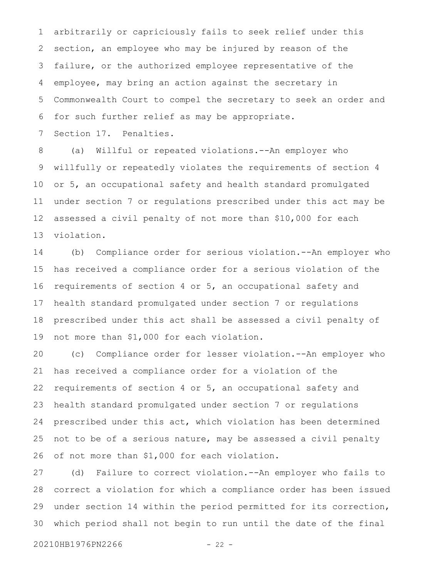arbitrarily or capriciously fails to seek relief under this section, an employee who may be injured by reason of the failure, or the authorized employee representative of the employee, may bring an action against the secretary in Commonwealth Court to compel the secretary to seek an order and for such further relief as may be appropriate. 1 2 3 4 5 6

Section 17. Penalties. 7

(a) Willful or repeated violations.--An employer who willfully or repeatedly violates the requirements of section 4 or 5, an occupational safety and health standard promulgated under section 7 or regulations prescribed under this act may be assessed a civil penalty of not more than \$10,000 for each violation. 8 9 10 11 12 13

(b) Compliance order for serious violation.--An employer who has received a compliance order for a serious violation of the requirements of section 4 or 5, an occupational safety and health standard promulgated under section 7 or regulations prescribed under this act shall be assessed a civil penalty of not more than \$1,000 for each violation. 14 15 16 17 18 19

(c) Compliance order for lesser violation.--An employer who has received a compliance order for a violation of the requirements of section 4 or 5, an occupational safety and health standard promulgated under section 7 or regulations prescribed under this act, which violation has been determined not to be of a serious nature, may be assessed a civil penalty of not more than \$1,000 for each violation. 20 21 22 23 24 25 26

(d) Failure to correct violation.--An employer who fails to correct a violation for which a compliance order has been issued under section 14 within the period permitted for its correction, which period shall not begin to run until the date of the final 27 28 29 30

20210HB1976PN2266 - 22 -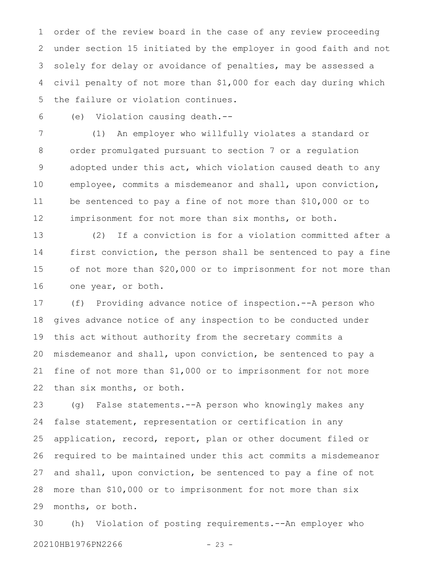order of the review board in the case of any review proceeding under section 15 initiated by the employer in good faith and not solely for delay or avoidance of penalties, may be assessed a civil penalty of not more than \$1,000 for each day during which the failure or violation continues. 1 2 3 4 5

6

(e) Violation causing death.--

(1) An employer who willfully violates a standard or order promulgated pursuant to section 7 or a regulation adopted under this act, which violation caused death to any employee, commits a misdemeanor and shall, upon conviction, be sentenced to pay a fine of not more than \$10,000 or to imprisonment for not more than six months, or both. 7 8 9 10 11 12

(2) If a conviction is for a violation committed after a first conviction, the person shall be sentenced to pay a fine of not more than \$20,000 or to imprisonment for not more than one year, or both. 13 14 15 16

(f) Providing advance notice of inspection.--A person who gives advance notice of any inspection to be conducted under this act without authority from the secretary commits a misdemeanor and shall, upon conviction, be sentenced to pay a fine of not more than \$1,000 or to imprisonment for not more than six months, or both. 17 18 19 20 21 22

(g) False statements.--A person who knowingly makes any false statement, representation or certification in any application, record, report, plan or other document filed or required to be maintained under this act commits a misdemeanor and shall, upon conviction, be sentenced to pay a fine of not more than \$10,000 or to imprisonment for not more than six months, or both. 23 24 25 26 27 28 29

(h) Violation of posting requirements.--An employer who 20210HB1976PN2266 - 23 -30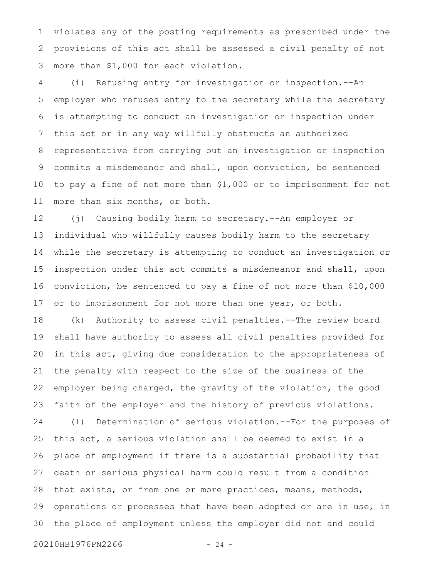violates any of the posting requirements as prescribed under the provisions of this act shall be assessed a civil penalty of not more than \$1,000 for each violation. 1 2 3

(i) Refusing entry for investigation or inspection.--An employer who refuses entry to the secretary while the secretary is attempting to conduct an investigation or inspection under this act or in any way willfully obstructs an authorized representative from carrying out an investigation or inspection commits a misdemeanor and shall, upon conviction, be sentenced to pay a fine of not more than \$1,000 or to imprisonment for not more than six months, or both. 4 5 6 7 8 9 10 11

(j) Causing bodily harm to secretary.--An employer or individual who willfully causes bodily harm to the secretary while the secretary is attempting to conduct an investigation or inspection under this act commits a misdemeanor and shall, upon conviction, be sentenced to pay a fine of not more than \$10,000 or to imprisonment for not more than one year, or both. 12 13 14 15 16 17

(k) Authority to assess civil penalties.--The review board shall have authority to assess all civil penalties provided for in this act, giving due consideration to the appropriateness of the penalty with respect to the size of the business of the employer being charged, the gravity of the violation, the good faith of the employer and the history of previous violations. (l) Determination of serious violation.--For the purposes of this act, a serious violation shall be deemed to exist in a place of employment if there is a substantial probability that death or serious physical harm could result from a condition that exists, or from one or more practices, means, methods, operations or processes that have been adopted or are in use, in the place of employment unless the employer did not and could 18 19 20 21 22 23 24 25 26 27 28 29 30

20210HB1976PN2266 - 24 -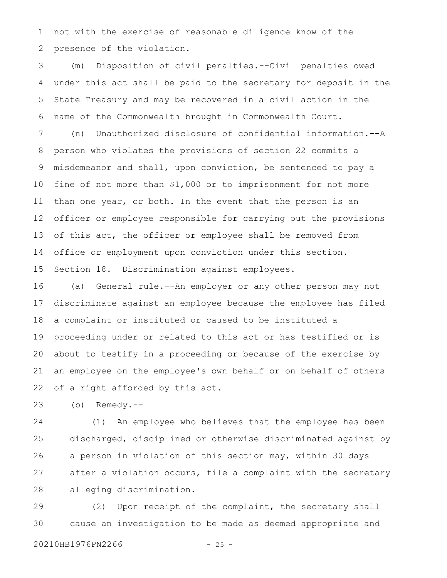not with the exercise of reasonable diligence know of the presence of the violation. 1 2

(m) Disposition of civil penalties.--Civil penalties owed under this act shall be paid to the secretary for deposit in the State Treasury and may be recovered in a civil action in the name of the Commonwealth brought in Commonwealth Court. 3 4 5 6

(n) Unauthorized disclosure of confidential information.--A person who violates the provisions of section 22 commits a misdemeanor and shall, upon conviction, be sentenced to pay a fine of not more than \$1,000 or to imprisonment for not more than one year, or both. In the event that the person is an officer or employee responsible for carrying out the provisions of this act, the officer or employee shall be removed from office or employment upon conviction under this section. Section 18. Discrimination against employees. 7 8 9 10 11 12 13 14 15

(a) General rule.--An employer or any other person may not discriminate against an employee because the employee has filed a complaint or instituted or caused to be instituted a proceeding under or related to this act or has testified or is about to testify in a proceeding or because of the exercise by an employee on the employee's own behalf or on behalf of others of a right afforded by this act. 16 17 18 19 20 21 22

(b) Remedy.-- 23

(1) An employee who believes that the employee has been discharged, disciplined or otherwise discriminated against by a person in violation of this section may, within 30 days after a violation occurs, file a complaint with the secretary alleging discrimination. 24 25 26 27 28

(2) Upon receipt of the complaint, the secretary shall cause an investigation to be made as deemed appropriate and 29 30

20210HB1976PN2266 - 25 -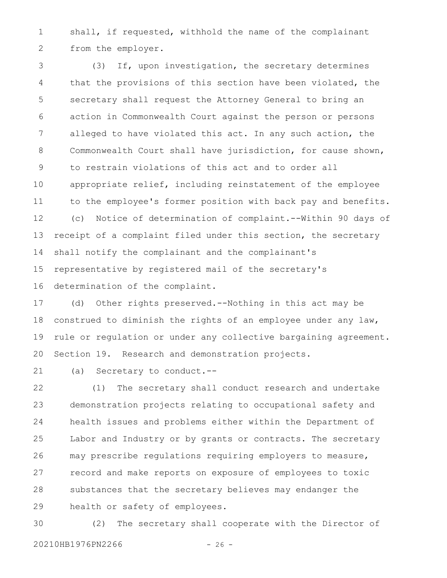shall, if requested, withhold the name of the complainant from the employer. 1 2

(3) If, upon investigation, the secretary determines that the provisions of this section have been violated, the secretary shall request the Attorney General to bring an action in Commonwealth Court against the person or persons alleged to have violated this act. In any such action, the Commonwealth Court shall have jurisdiction, for cause shown, to restrain violations of this act and to order all appropriate relief, including reinstatement of the employee to the employee's former position with back pay and benefits. (c) Notice of determination of complaint.--Within 90 days of receipt of a complaint filed under this section, the secretary shall notify the complainant and the complainant's representative by registered mail of the secretary's determination of the complaint. 3 4 5 6 7 8 9 10 11 12 13 14 15 16

(d) Other rights preserved.--Nothing in this act may be construed to diminish the rights of an employee under any law, rule or regulation or under any collective bargaining agreement. Section 19. Research and demonstration projects. 17 18 19 20

(a) Secretary to conduct.-- 21

(1) The secretary shall conduct research and undertake demonstration projects relating to occupational safety and health issues and problems either within the Department of Labor and Industry or by grants or contracts. The secretary may prescribe regulations requiring employers to measure, record and make reports on exposure of employees to toxic substances that the secretary believes may endanger the health or safety of employees. 22 23 24 25 26 27 28 29

(2) The secretary shall cooperate with the Director of 20210HB1976PN2266 - 26 -30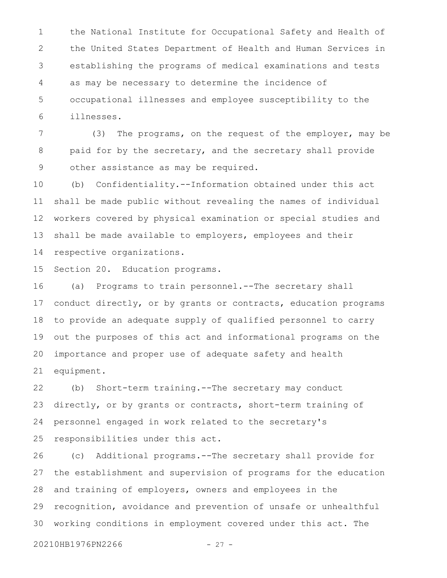the National Institute for Occupational Safety and Health of the United States Department of Health and Human Services in establishing the programs of medical examinations and tests as may be necessary to determine the incidence of occupational illnesses and employee susceptibility to the illnesses. 1 2 3 4 5 6

(3) The programs, on the request of the employer, may be paid for by the secretary, and the secretary shall provide other assistance as may be required. 7 8 9

(b) Confidentiality.--Information obtained under this act shall be made public without revealing the names of individual workers covered by physical examination or special studies and shall be made available to employers, employees and their respective organizations. 10 11 12 13 14

Section 20. Education programs. 15

(a) Programs to train personnel.--The secretary shall conduct directly, or by grants or contracts, education programs to provide an adequate supply of qualified personnel to carry out the purposes of this act and informational programs on the importance and proper use of adequate safety and health equipment. 16 17 18 19 20 21

(b) Short-term training.--The secretary may conduct directly, or by grants or contracts, short-term training of personnel engaged in work related to the secretary's responsibilities under this act. 22 23 24 25

(c) Additional programs.--The secretary shall provide for the establishment and supervision of programs for the education and training of employers, owners and employees in the recognition, avoidance and prevention of unsafe or unhealthful working conditions in employment covered under this act. The 26 27 28 29 30

20210HB1976PN2266 - 27 -